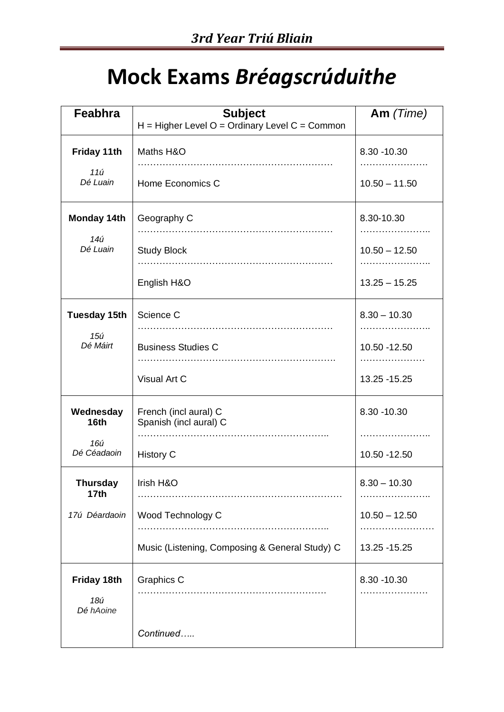## **Mock Exams** *Bréagscrúduithe*

| Feabhra                         | <b>Subject</b><br>$H = Higher Level O = Ordinary Level C = Common$ | Am (Time)                       |
|---------------------------------|--------------------------------------------------------------------|---------------------------------|
| Friday 11th                     | Maths H&O                                                          | 8.30 - 10.30<br>.               |
| 11ú<br>Dé Luain                 | Home Economics C                                                   | $10.50 - 11.50$                 |
| <b>Monday 14th</b>              | Geography C                                                        | 8.30-10.30                      |
| 14ú<br>Dé Luain                 | <b>Study Block</b>                                                 | $10.50 - 12.50$                 |
|                                 | English H&O                                                        | $13.25 - 15.25$                 |
| <b>Tuesday 15th</b>             | Science C                                                          | $8.30 - 10.30$                  |
| 15ú<br>Dé Máirt                 | <b>Business Studies C</b>                                          | 10.50 - 12.50                   |
|                                 | Visual Art C                                                       | 13.25 - 15.25                   |
| Wednesday<br>16th               | French (incl aural) C<br>Spanish (incl aural) C                    | 8.30 - 10.30<br>.               |
| 16ú<br>Dé Céadaoin              | <b>History C</b>                                                   | 10.50 - 12.50                   |
| Thursday<br>17 <sub>th</sub>    | Irish H&O                                                          | $8.30 - 10.30$                  |
| 17ú Déardaoin                   | Wood Technology C                                                  | $10.50 - 12.50$<br>. <b>.</b> . |
|                                 | Music (Listening, Composing & General Study) C                     | 13.25 - 15.25                   |
| Friday 18th<br>18ú<br>Dé hAoine | Graphics C                                                         | 8.30 - 10.30<br>.               |
|                                 | Continued                                                          |                                 |